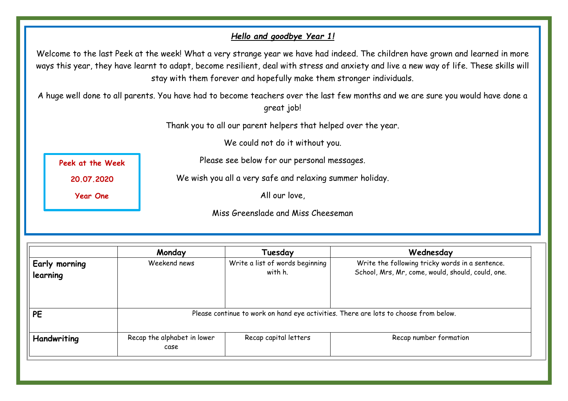#### *Hello and goodbye Year 1!*

Welcome to the last Peek at the week! What a very strange year we have had indeed. The children have grown and learned in more ways this year, they have learnt to adapt, become resilient, deal with stress and anxiety and live a new way of life. These skills will stay with them forever and hopefully make them stronger individuals.

A huge well done to all parents. You have had to become teachers over the last few months and we are sure you would have done a great job!

Thank you to all our parent helpers that helped over the year.

We could not do it without you.

Please see below for our personal messages.

**Peek at the Week**

**20.07.2020**

**Year One**

We wish you all a very safe and relaxing summer holiday.

All our love,

Miss Greenslade and Miss Cheeseman

|                                  | Monday                                                                               | Tuesday                                    | Wednesday                                                                                            |
|----------------------------------|--------------------------------------------------------------------------------------|--------------------------------------------|------------------------------------------------------------------------------------------------------|
| <b>Early morning</b><br>learning | Weekend news                                                                         | Write a list of words beginning<br>with h. | Write the following tricky words in a sentence.<br>School, Mrs, Mr, come, would, should, could, one. |
| <b>PE</b>                        | Please continue to work on hand eye activities. There are lots to choose from below. |                                            |                                                                                                      |
| Handwriting                      | Recap the alphabet in lower<br>case                                                  | Recap capital letters                      | Recap number formation                                                                               |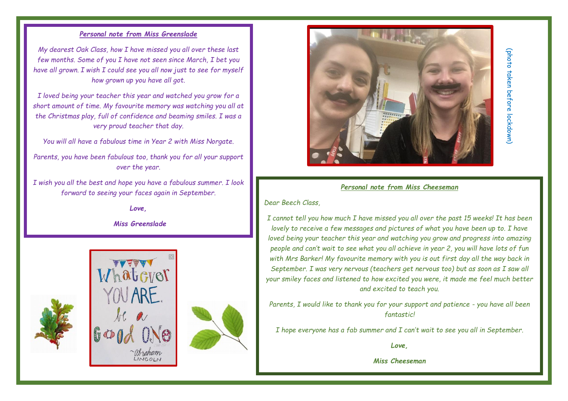#### *Personal note from Miss Greenslade*

*My dearest Oak Class, how I have missed you all over these last few months. Some of you I have not seen since March, I bet you have all grown. I wish I could see you all now just to see for myself how grown up you have all got.* 

*I loved being your teacher this year and watched you grow for a short amount of time. My favourite memory was watching you all at the Christmas play, full of confidence and beaming smiles. I was a very proud teacher that day.* 

*You will all have a fabulous time in Year 2 with Miss Norgate.* 

*Parents, you have been fabulous too, thank you for all your support over the year.* 

*I wish you all the best and hope you have a fabulous summer. I look forward to seeing your faces again in September.* 

*Love,*

*Miss Greenslade* 







# (photo taken before lockdown (photo taken before lockdown)

#### *Personal note from Miss Cheeseman*

*Dear Beech Class,*

*I cannot tell you how much I have missed you all over the past 15 weeks! It has been lovely to receive a few messages and pictures of what you have been up to. I have loved being your teacher this year and watching you grow and progress into amazing people and can't wait to see what you all achieve in year 2, you will have lots of fun with Mrs Barker! My favourite memory with you is out first day all the way back in September. I was very nervous (teachers get nervous too) but as soon as I saw all your smiley faces and listened to how excited you were, it made me feel much better and excited to teach you.*

*Parents, I would like to thank you for your support and patience - you have all been fantastic!*

*I hope everyone has a fab summer and I can't wait to see you all in September.*

*Love,*

*Miss Cheeseman*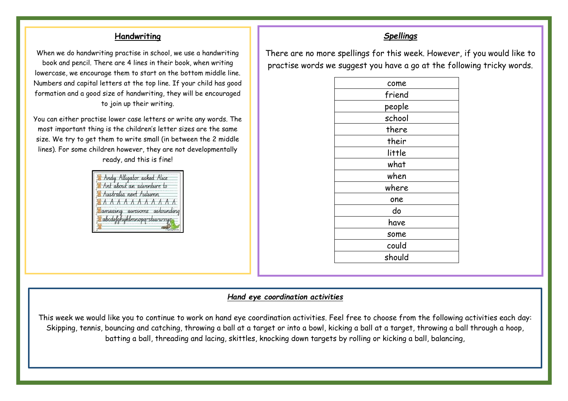#### **Handwriting**

When we do handwriting practise in school, we use a handwriting book and pencil. There are 4 lines in their book, when writing lowercase, we encourage them to start on the bottom middle line. Numbers and capital letters at the top line. If your child has good formation and a good size of handwriting, they will be encouraged to join up their writing.

You can either practise lower case letters or write any words. The most important thing is the children's letter sizes are the same size. We try to get them to write small (in between the 2 middle lines). For some children however, they are not developmentally ready, and this is fine!



#### *Spellings*

There are no more spellings for this week. However, if you would like to practise words we suggest you have a go at the following tricky words.

#### *Hand eye coordination activities*

This week we would like you to continue to work on hand eye coordination activities. Feel free to choose from the following activities each day: Skipping, tennis, bouncing and catching, throwing a ball at a target or into a bowl, kicking a ball at a target, throwing a ball through a hoop, batting a ball, threading and lacing, skittles, knocking down targets by rolling or kicking a ball, balancing,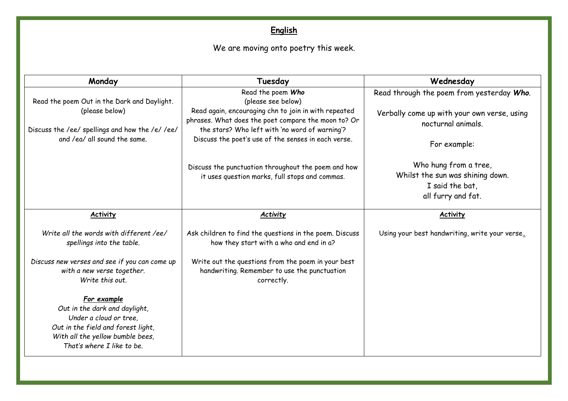# **English**

# We are moving onto poetry this week.

| Monday                                                                                                                                           | Tuesday                                                                                                          | Wednesday                                                                                          |
|--------------------------------------------------------------------------------------------------------------------------------------------------|------------------------------------------------------------------------------------------------------------------|----------------------------------------------------------------------------------------------------|
| Read the poem Out in the Dark and Daylight.                                                                                                      | Read the poem Who<br>(please see below)                                                                          | Read through the poem from yesterday Who.                                                          |
| (please below)                                                                                                                                   | Read again, encouraging chn to join in with repeated<br>phrases. What does the poet compare the moon to? Or      | Verbally come up with your own verse, using<br>nocturnal animals.                                  |
| Discuss the /ee/ spellings and how the /e/ /ee/<br>and /ea/ all sound the same.                                                                  | the stars? Who left with 'no word of warning'?<br>Discuss the poet's use of the senses in each verse.            | For example:                                                                                       |
|                                                                                                                                                  | Discuss the punctuation throughout the poem and how<br>it uses question marks, full stops and commas.            | Who hung from a tree,<br>Whilst the sun was shining down.<br>I said the bat.<br>all furry and fat. |
| <b>Activity</b>                                                                                                                                  | <b>Activity</b>                                                                                                  | <b>Activity</b>                                                                                    |
| Write all the words with different /ee/<br>spellings into the table.                                                                             | Ask children to find the questions in the poem. Discuss<br>how they start with a who and end in a?               | Using your best handwriting, write your verse.                                                     |
| Discuss new verses and see if you can come up<br>with a new verse together.<br>Write this out.                                                   | Write out the questions from the poem in your best<br>handwriting. Remember to use the punctuation<br>correctly. |                                                                                                    |
| For example<br>Out in the dark and daylight,<br>Under a cloud or tree,<br>Out in the field and forest light,<br>With all the yellow bumble bees, |                                                                                                                  |                                                                                                    |
| That's where I like to be.                                                                                                                       |                                                                                                                  |                                                                                                    |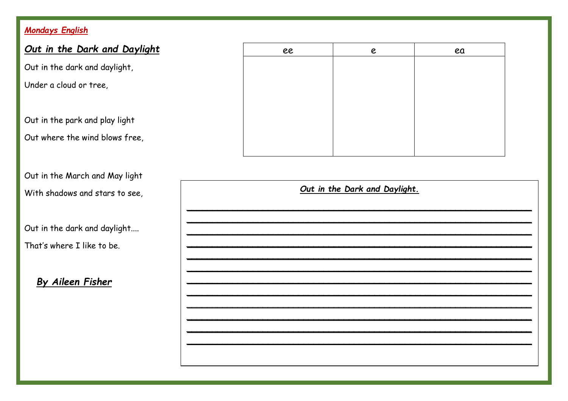# Mondays English

| Out in the Dark and Daylight                                     |                               | ee | e | ea |
|------------------------------------------------------------------|-------------------------------|----|---|----|
| Out in the dark and daylight,                                    |                               |    |   |    |
| Under a cloud or tree,                                           |                               |    |   |    |
| Out in the park and play light                                   |                               |    |   |    |
| Out where the wind blows free,                                   |                               |    |   |    |
| Out in the March and May light<br>With shadows and stars to see, | Out in the Dark and Daylight. |    |   |    |
| Out in the dark and daylight                                     |                               |    |   |    |
| That's where I like to be.                                       |                               |    |   |    |
| By Aileen Fisher                                                 |                               |    |   |    |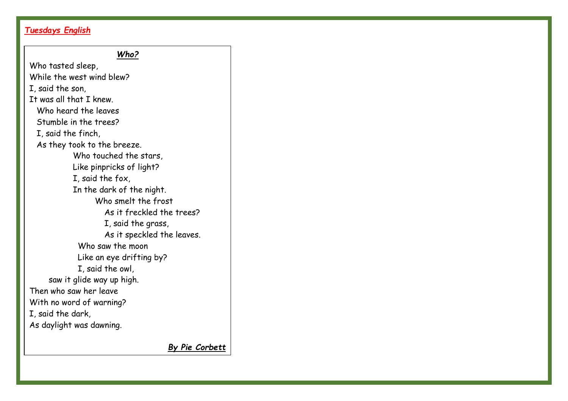## *Tuesdays English*

#### *Who?*

Who tasted sleep, While the west wind blew? I, said the son, It was all that I knew. Who heard the leaves Stumble in the trees? I, said the finch, As they took to the breeze. Who touched the stars, Like pinpricks of light? I, said the fox, In the dark of the night. Who smelt the frost As it freckled the trees? I, said the grass, As it speckled the leaves. Who saw the moon Like an eye drifting by? I, said the owl, saw it glide way up high. Then who saw her leave With no word of warning? I, said the dark, As daylight was dawning.

*By Pie Corbett*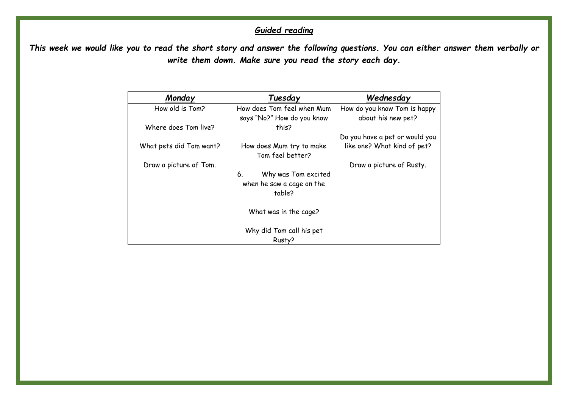# *Guided reading*

*This week we would like you to read the short story and answer the following questions. You can either answer them verbally or write them down. Make sure you read the story each day.* 

| Monday                  | Tuesday                    | Wednesday                      |
|-------------------------|----------------------------|--------------------------------|
| How old is Tom?         | How does Tom feel when Mum | How do you know Tom is happy   |
|                         | says "No?" How do you know | about his new pet?             |
| Where does Tom live?    | this?                      |                                |
|                         |                            | Do you have a pet or would you |
| What pets did Tom want? | How does Mum try to make   | like one? What kind of pet?    |
|                         | Tom feel better?           |                                |
| Draw a picture of Tom.  |                            | Draw a picture of Rusty.       |
|                         | Why was Tom excited<br>6.  |                                |
|                         | when he saw a cage on the  |                                |
|                         | table?                     |                                |
|                         |                            |                                |
|                         | What was in the cage?      |                                |
|                         |                            |                                |
|                         | Why did Tom call his pet   |                                |
|                         | Rusty?                     |                                |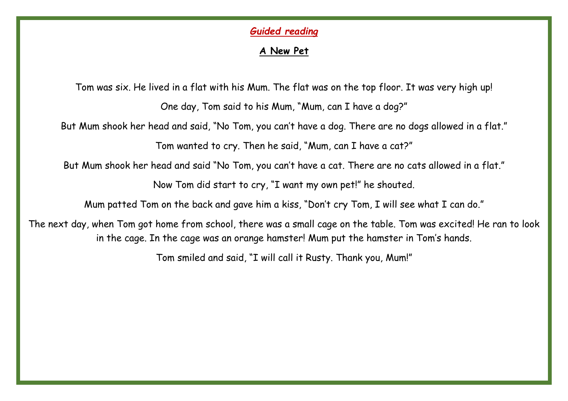## *Guided reading*

# **A New Pet**

Tom was six. He lived in a flat with his Mum. The flat was on the top floor. It was very high up! One day, Tom said to his Mum, "Mum, can I have a dog?" But Mum shook her head and said, "No Tom, you can't have a dog. There are no dogs allowed in a flat." Tom wanted to cry. Then he said, "Mum, can I have a cat?" But Mum shook her head and said "No Tom, you can't have a cat. There are no cats allowed in a flat." Now Tom did start to cry, "I want my own pet!" he shouted. Mum patted Tom on the back and gave him a kiss, "Don't cry Tom, I will see what I can do." The next day, when Tom got home from school, there was a small cage on the table. Tom was excited! He ran to look in the cage. In the cage was an orange hamster! Mum put the hamster in Tom's hands.

Tom smiled and said, "I will call it Rusty. Thank you, Mum!"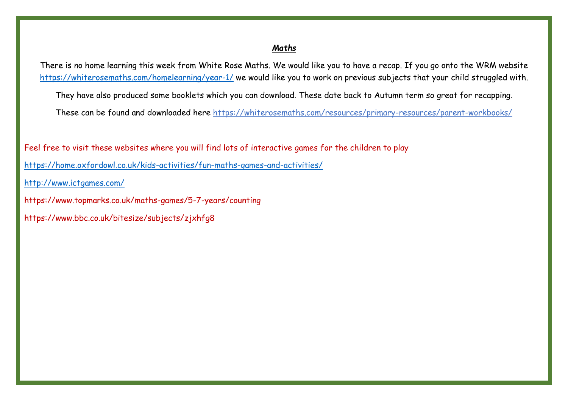#### *Maths*

There is no home learning this week from White Rose Maths. We would like you to have a recap. If you go onto the WRM website <https://whiterosemaths.com/homelearning/year-1/> we would like you to work on previous subjects that your child struggled with.

They have also produced some booklets which you can download. These date back to Autumn term so great for recapping.

These can be found and downloaded here https://whiterosemaths.com/resources/primary-resources/parent-workbooks/

Feel free to visit these websites where you will find lots of interactive games for the children to play

<https://home.oxfordowl.co.uk/kids-activities/fun-maths-games-and-activities/>

<http://www.ictgames.com/>

https://www.topmarks.co.uk/maths-games/5-7-years/counting

https://www.bbc.co.uk/bitesize/subjects/zjxhfg8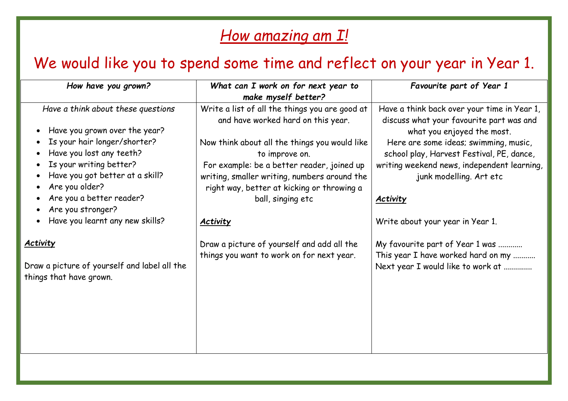# *How amazing am I!*

# We would like you to spend some time and reflect on your year in Year 1.

| How have you grown?                                                                                                                                                                                                                                                                                 | What can I work on for next year to<br>make myself better?                                                                                                                                                                                                                                                                                  | Favourite part of Year 1                                                                                                                                                                                                                                                                                                                     |
|-----------------------------------------------------------------------------------------------------------------------------------------------------------------------------------------------------------------------------------------------------------------------------------------------------|---------------------------------------------------------------------------------------------------------------------------------------------------------------------------------------------------------------------------------------------------------------------------------------------------------------------------------------------|----------------------------------------------------------------------------------------------------------------------------------------------------------------------------------------------------------------------------------------------------------------------------------------------------------------------------------------------|
| Have a think about these questions<br>Have you grown over the year?<br>Is your hair longer/shorter?<br>Have you lost any teeth?<br>Is your writing better?<br>Have you got better at a skill?<br>Are you older?<br>Are you a better reader?<br>Are you stronger?<br>Have you learnt any new skills? | Write a list of all the things you are good at<br>and have worked hard on this year.<br>Now think about all the things you would like<br>to improve on.<br>For example: be a better reader, joined up<br>writing, smaller writing, numbers around the<br>right way, better at kicking or throwing a<br>ball, singing etc<br><b>Activity</b> | Have a think back over your time in Year 1,<br>discuss what your favourite part was and<br>what you enjoyed the most.<br>Here are some ideas; swimming, music,<br>school play, Harvest Festival, PE, dance,<br>writing weekend news, independent learning,<br>junk modelling. Art etc<br><b>Activity</b><br>Write about your year in Year 1. |
| <b>Activity</b><br>Draw a picture of yourself and label all the<br>things that have grown.                                                                                                                                                                                                          | Draw a picture of yourself and add all the<br>things you want to work on for next year.                                                                                                                                                                                                                                                     | My favourite part of Year 1 was<br>This year I have worked hard on my<br>Next year I would like to work at                                                                                                                                                                                                                                   |